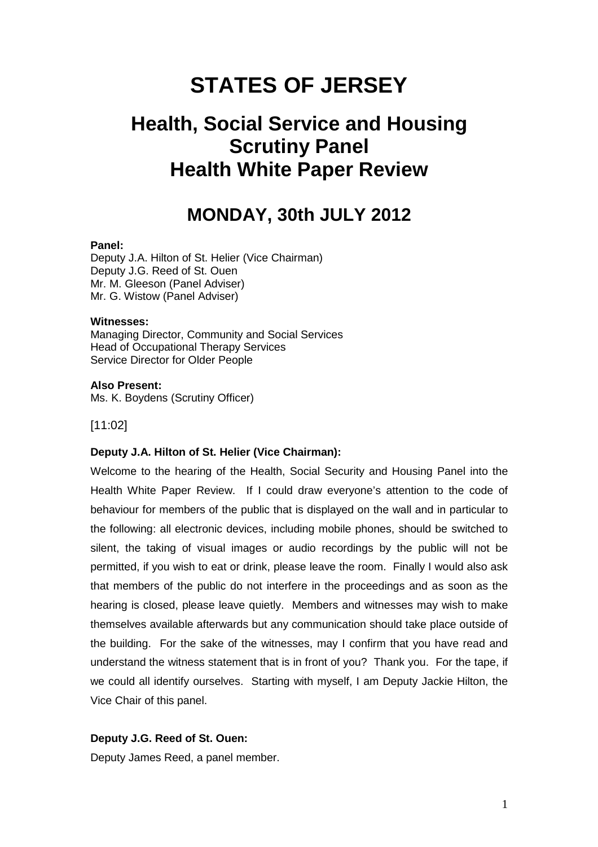# **STATES OF JERSEY**

## **Health, Social Service and Housing Scrutiny Panel Health White Paper Review**

## **MONDAY, 30th JULY 2012**

#### **Panel:**

Deputy J.A. Hilton of St. Helier (Vice Chairman) Deputy J.G. Reed of St. Ouen Mr. M. Gleeson (Panel Adviser) Mr. G. Wistow (Panel Adviser)

#### **Witnesses:**

Managing Director, Community and Social Services Head of Occupational Therapy Services Service Director for Older People

#### **Also Present:**

Ms. K. Boydens (Scrutiny Officer)

#### [11:02]

#### **Deputy J.A. Hilton of St. Helier (Vice Chairman):**

Welcome to the hearing of the Health, Social Security and Housing Panel into the Health White Paper Review. If I could draw everyone's attention to the code of behaviour for members of the public that is displayed on the wall and in particular to the following: all electronic devices, including mobile phones, should be switched to silent, the taking of visual images or audio recordings by the public will not be permitted, if you wish to eat or drink, please leave the room. Finally I would also ask that members of the public do not interfere in the proceedings and as soon as the hearing is closed, please leave quietly. Members and witnesses may wish to make themselves available afterwards but any communication should take place outside of the building. For the sake of the witnesses, may I confirm that you have read and understand the witness statement that is in front of you? Thank you. For the tape, if we could all identify ourselves. Starting with myself, I am Deputy Jackie Hilton, the Vice Chair of this panel.

#### **Deputy J.G. Reed of St. Ouen:**

Deputy James Reed, a panel member.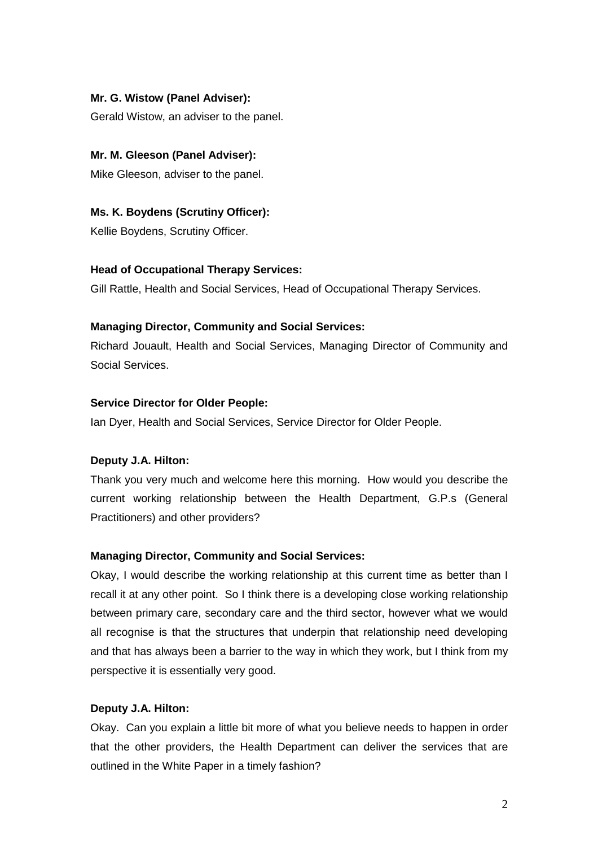## **Mr. G. Wistow (Panel Adviser):**

Gerald Wistow, an adviser to the panel.

#### **Mr. M. Gleeson (Panel Adviser):**

Mike Gleeson, adviser to the panel.

**Ms. K. Boydens (Scrutiny Officer):**  Kellie Boydens, Scrutiny Officer.

#### **Head of Occupational Therapy Services:**

Gill Rattle, Health and Social Services, Head of Occupational Therapy Services.

#### **Managing Director, Community and Social Services:**

Richard Jouault, Health and Social Services, Managing Director of Community and Social Services.

#### **Service Director for Older People:**

Ian Dyer, Health and Social Services, Service Director for Older People.

## **Deputy J.A. Hilton:**

Thank you very much and welcome here this morning. How would you describe the current working relationship between the Health Department, G.P.s (General Practitioners) and other providers?

#### **Managing Director, Community and Social Services:**

Okay, I would describe the working relationship at this current time as better than I recall it at any other point. So I think there is a developing close working relationship between primary care, secondary care and the third sector, however what we would all recognise is that the structures that underpin that relationship need developing and that has always been a barrier to the way in which they work, but I think from my perspective it is essentially very good.

#### **Deputy J.A. Hilton:**

Okay. Can you explain a little bit more of what you believe needs to happen in order that the other providers, the Health Department can deliver the services that are outlined in the White Paper in a timely fashion?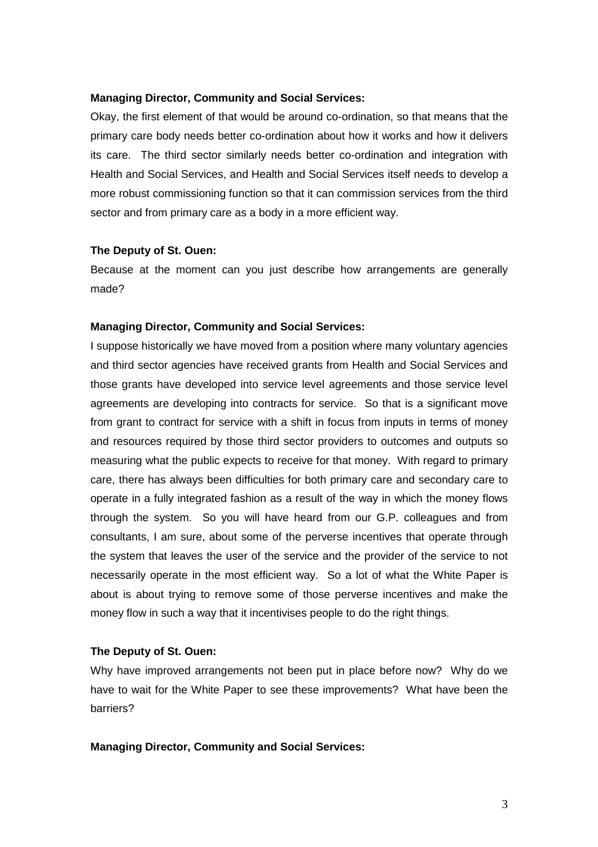#### **Managing Director, Community and Social Services:**

Okay, the first element of that would be around co-ordination, so that means that the primary care body needs better co-ordination about how it works and how it delivers its care. The third sector similarly needs better co-ordination and integration with Health and Social Services, and Health and Social Services itself needs to develop a more robust commissioning function so that it can commission services from the third sector and from primary care as a body in a more efficient way.

#### **The Deputy of St. Ouen:**

Because at the moment can you just describe how arrangements are generally made?

#### **Managing Director, Community and Social Services:**

I suppose historically we have moved from a position where many voluntary agencies and third sector agencies have received grants from Health and Social Services and those grants have developed into service level agreements and those service level agreements are developing into contracts for service. So that is a significant move from grant to contract for service with a shift in focus from inputs in terms of money and resources required by those third sector providers to outcomes and outputs so measuring what the public expects to receive for that money. With regard to primary care, there has always been difficulties for both primary care and secondary care to operate in a fully integrated fashion as a result of the way in which the money flows through the system. So you will have heard from our G.P. colleagues and from consultants, I am sure, about some of the perverse incentives that operate through the system that leaves the user of the service and the provider of the service to not necessarily operate in the most efficient way. So a lot of what the White Paper is about is about trying to remove some of those perverse incentives and make the money flow in such a way that it incentivises people to do the right things.

### **The Deputy of St. Ouen:**

Why have improved arrangements not been put in place before now? Why do we have to wait for the White Paper to see these improvements? What have been the barriers?

#### **Managing Director, Community and Social Services:**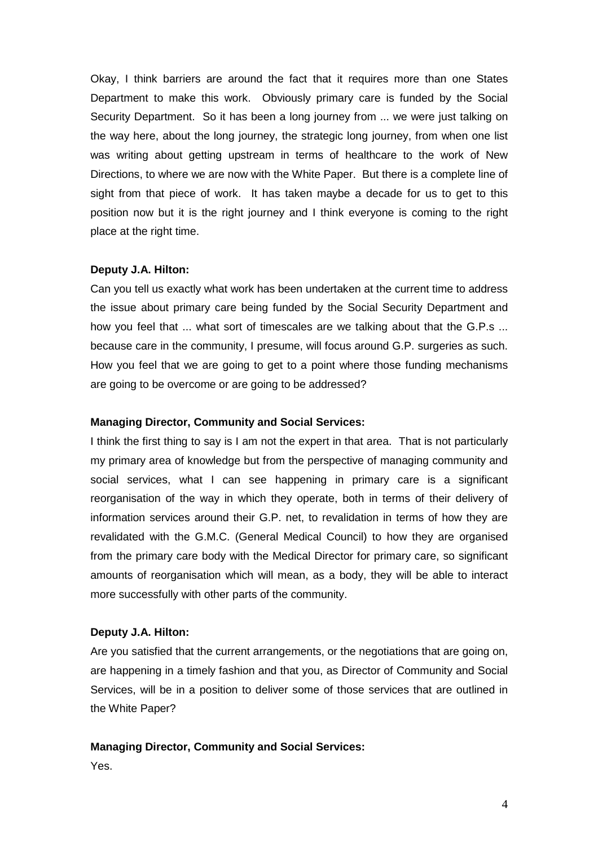Okay, I think barriers are around the fact that it requires more than one States Department to make this work. Obviously primary care is funded by the Social Security Department. So it has been a long journey from ... we were just talking on the way here, about the long journey, the strategic long journey, from when one list was writing about getting upstream in terms of healthcare to the work of New Directions, to where we are now with the White Paper. But there is a complete line of sight from that piece of work. It has taken maybe a decade for us to get to this position now but it is the right journey and I think everyone is coming to the right place at the right time.

### **Deputy J.A. Hilton:**

Can you tell us exactly what work has been undertaken at the current time to address the issue about primary care being funded by the Social Security Department and how you feel that ... what sort of timescales are we talking about that the G.P.s ... because care in the community, I presume, will focus around G.P. surgeries as such. How you feel that we are going to get to a point where those funding mechanisms are going to be overcome or are going to be addressed?

#### **Managing Director, Community and Social Services:**

I think the first thing to say is I am not the expert in that area. That is not particularly my primary area of knowledge but from the perspective of managing community and social services, what I can see happening in primary care is a significant reorganisation of the way in which they operate, both in terms of their delivery of information services around their G.P. net, to revalidation in terms of how they are revalidated with the G.M.C. (General Medical Council) to how they are organised from the primary care body with the Medical Director for primary care, so significant amounts of reorganisation which will mean, as a body, they will be able to interact more successfully with other parts of the community.

#### **Deputy J.A. Hilton:**

Are you satisfied that the current arrangements, or the negotiations that are going on, are happening in a timely fashion and that you, as Director of Community and Social Services, will be in a position to deliver some of those services that are outlined in the White Paper?

#### **Managing Director, Community and Social Services:**

Yes.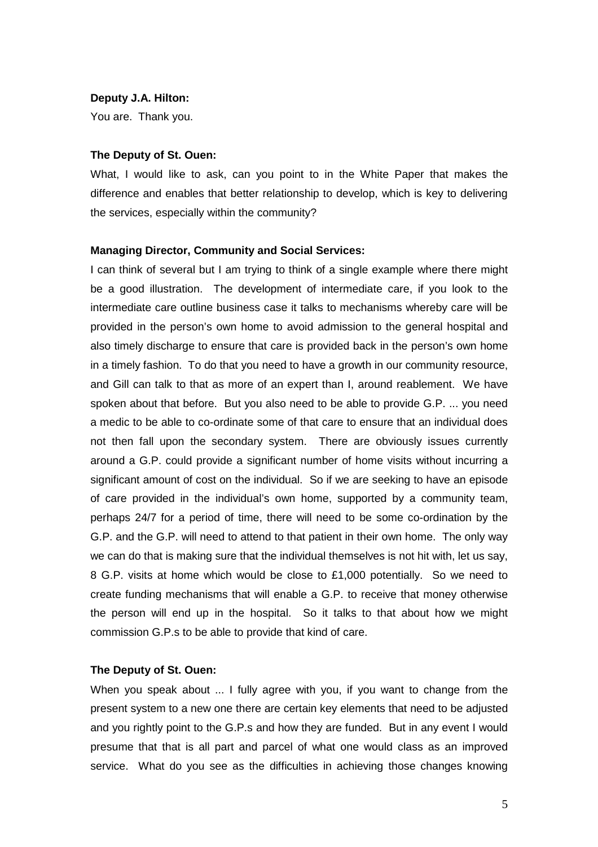#### **Deputy J.A. Hilton:**

You are. Thank you.

#### **The Deputy of St. Ouen:**

What, I would like to ask, can you point to in the White Paper that makes the difference and enables that better relationship to develop, which is key to delivering the services, especially within the community?

#### **Managing Director, Community and Social Services:**

I can think of several but I am trying to think of a single example where there might be a good illustration. The development of intermediate care, if you look to the intermediate care outline business case it talks to mechanisms whereby care will be provided in the person's own home to avoid admission to the general hospital and also timely discharge to ensure that care is provided back in the person's own home in a timely fashion. To do that you need to have a growth in our community resource, and Gill can talk to that as more of an expert than I, around reablement. We have spoken about that before. But you also need to be able to provide G.P. ... you need a medic to be able to co-ordinate some of that care to ensure that an individual does not then fall upon the secondary system. There are obviously issues currently around a G.P. could provide a significant number of home visits without incurring a significant amount of cost on the individual. So if we are seeking to have an episode of care provided in the individual's own home, supported by a community team, perhaps 24/7 for a period of time, there will need to be some co-ordination by the G.P. and the G.P. will need to attend to that patient in their own home. The only way we can do that is making sure that the individual themselves is not hit with, let us say, 8 G.P. visits at home which would be close to £1,000 potentially. So we need to create funding mechanisms that will enable a G.P. to receive that money otherwise the person will end up in the hospital. So it talks to that about how we might commission G.P.s to be able to provide that kind of care.

## **The Deputy of St. Ouen:**

When you speak about ... I fully agree with you, if you want to change from the present system to a new one there are certain key elements that need to be adjusted and you rightly point to the G.P.s and how they are funded. But in any event I would presume that that is all part and parcel of what one would class as an improved service. What do you see as the difficulties in achieving those changes knowing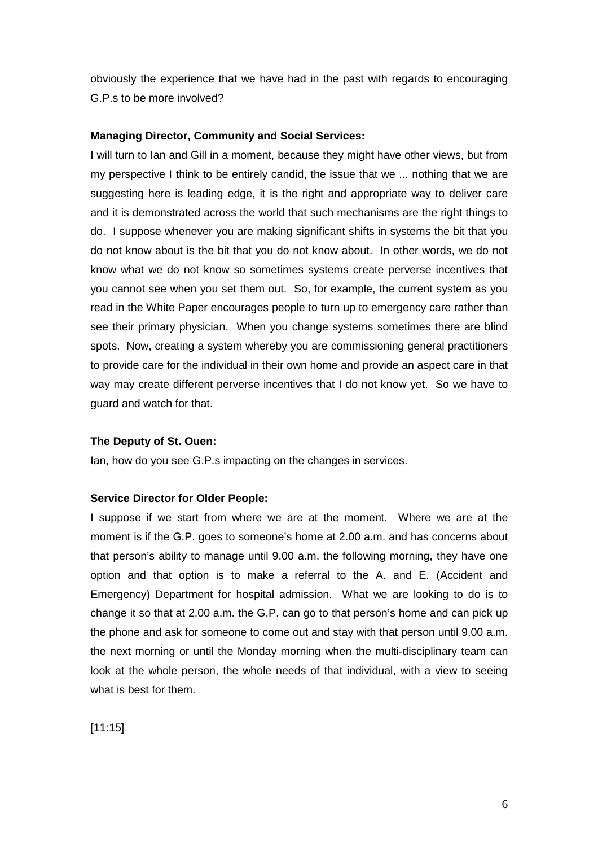obviously the experience that we have had in the past with regards to encouraging G.P.s to be more involved?

#### **Managing Director, Community and Social Services:**

I will turn to Ian and Gill in a moment, because they might have other views, but from my perspective I think to be entirely candid, the issue that we ... nothing that we are suggesting here is leading edge, it is the right and appropriate way to deliver care and it is demonstrated across the world that such mechanisms are the right things to do. I suppose whenever you are making significant shifts in systems the bit that you do not know about is the bit that you do not know about. In other words, we do not know what we do not know so sometimes systems create perverse incentives that you cannot see when you set them out. So, for example, the current system as you read in the White Paper encourages people to turn up to emergency care rather than see their primary physician. When you change systems sometimes there are blind spots. Now, creating a system whereby you are commissioning general practitioners to provide care for the individual in their own home and provide an aspect care in that way may create different perverse incentives that I do not know yet. So we have to guard and watch for that.

#### **The Deputy of St. Ouen:**

Ian, how do you see G.P.s impacting on the changes in services.

#### **Service Director for Older People:**

I suppose if we start from where we are at the moment. Where we are at the moment is if the G.P. goes to someone's home at 2.00 a.m. and has concerns about that person's ability to manage until 9.00 a.m. the following morning, they have one option and that option is to make a referral to the A. and E. (Accident and Emergency) Department for hospital admission. What we are looking to do is to change it so that at 2.00 a.m. the G.P. can go to that person's home and can pick up the phone and ask for someone to come out and stay with that person until 9.00 a.m. the next morning or until the Monday morning when the multi-disciplinary team can look at the whole person, the whole needs of that individual, with a view to seeing what is best for them.

[11:15]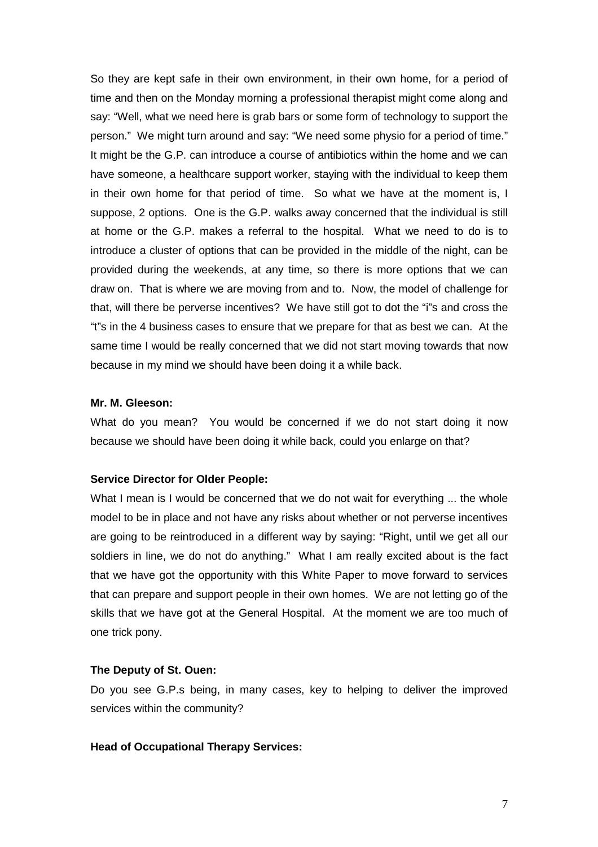So they are kept safe in their own environment, in their own home, for a period of time and then on the Monday morning a professional therapist might come along and say: "Well, what we need here is grab bars or some form of technology to support the person." We might turn around and say: "We need some physio for a period of time." It might be the G.P. can introduce a course of antibiotics within the home and we can have someone, a healthcare support worker, staying with the individual to keep them in their own home for that period of time. So what we have at the moment is, I suppose, 2 options. One is the G.P. walks away concerned that the individual is still at home or the G.P. makes a referral to the hospital. What we need to do is to introduce a cluster of options that can be provided in the middle of the night, can be provided during the weekends, at any time, so there is more options that we can draw on. That is where we are moving from and to. Now, the model of challenge for that, will there be perverse incentives? We have still got to dot the "i"s and cross the "t"s in the 4 business cases to ensure that we prepare for that as best we can. At the same time I would be really concerned that we did not start moving towards that now because in my mind we should have been doing it a while back.

#### **Mr. M. Gleeson:**

What do you mean? You would be concerned if we do not start doing it now because we should have been doing it while back, could you enlarge on that?

#### **Service Director for Older People:**

What I mean is I would be concerned that we do not wait for everything ... the whole model to be in place and not have any risks about whether or not perverse incentives are going to be reintroduced in a different way by saying: "Right, until we get all our soldiers in line, we do not do anything." What I am really excited about is the fact that we have got the opportunity with this White Paper to move forward to services that can prepare and support people in their own homes. We are not letting go of the skills that we have got at the General Hospital. At the moment we are too much of one trick pony.

#### **The Deputy of St. Ouen:**

Do you see G.P.s being, in many cases, key to helping to deliver the improved services within the community?

#### **Head of Occupational Therapy Services:**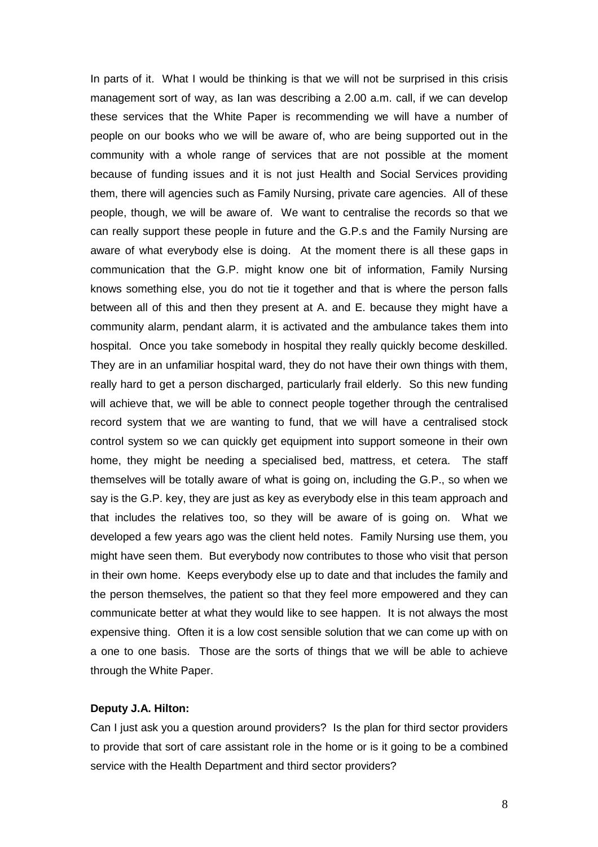In parts of it. What I would be thinking is that we will not be surprised in this crisis management sort of way, as Ian was describing a 2.00 a.m. call, if we can develop these services that the White Paper is recommending we will have a number of people on our books who we will be aware of, who are being supported out in the community with a whole range of services that are not possible at the moment because of funding issues and it is not just Health and Social Services providing them, there will agencies such as Family Nursing, private care agencies. All of these people, though, we will be aware of. We want to centralise the records so that we can really support these people in future and the G.P.s and the Family Nursing are aware of what everybody else is doing. At the moment there is all these gaps in communication that the G.P. might know one bit of information, Family Nursing knows something else, you do not tie it together and that is where the person falls between all of this and then they present at A. and E. because they might have a community alarm, pendant alarm, it is activated and the ambulance takes them into hospital. Once you take somebody in hospital they really quickly become deskilled. They are in an unfamiliar hospital ward, they do not have their own things with them, really hard to get a person discharged, particularly frail elderly. So this new funding will achieve that, we will be able to connect people together through the centralised record system that we are wanting to fund, that we will have a centralised stock control system so we can quickly get equipment into support someone in their own home, they might be needing a specialised bed, mattress, et cetera. The staff themselves will be totally aware of what is going on, including the G.P., so when we say is the G.P. key, they are just as key as everybody else in this team approach and that includes the relatives too, so they will be aware of is going on. What we developed a few years ago was the client held notes. Family Nursing use them, you might have seen them. But everybody now contributes to those who visit that person in their own home. Keeps everybody else up to date and that includes the family and the person themselves, the patient so that they feel more empowered and they can communicate better at what they would like to see happen. It is not always the most expensive thing. Often it is a low cost sensible solution that we can come up with on a one to one basis. Those are the sorts of things that we will be able to achieve through the White Paper.

## **Deputy J.A. Hilton:**

Can I just ask you a question around providers? Is the plan for third sector providers to provide that sort of care assistant role in the home or is it going to be a combined service with the Health Department and third sector providers?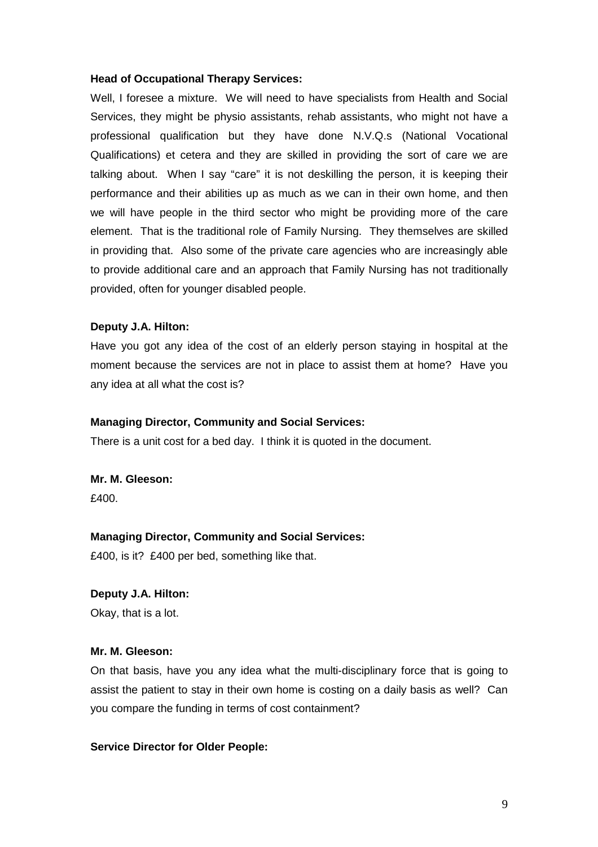#### **Head of Occupational Therapy Services:**

Well, I foresee a mixture. We will need to have specialists from Health and Social Services, they might be physio assistants, rehab assistants, who might not have a professional qualification but they have done N.V.Q.s (National Vocational Qualifications) et cetera and they are skilled in providing the sort of care we are talking about. When I say "care" it is not deskilling the person, it is keeping their performance and their abilities up as much as we can in their own home, and then we will have people in the third sector who might be providing more of the care element. That is the traditional role of Family Nursing. They themselves are skilled in providing that. Also some of the private care agencies who are increasingly able to provide additional care and an approach that Family Nursing has not traditionally provided, often for younger disabled people.

#### **Deputy J.A. Hilton:**

Have you got any idea of the cost of an elderly person staying in hospital at the moment because the services are not in place to assist them at home? Have you any idea at all what the cost is?

#### **Managing Director, Community and Social Services:**

There is a unit cost for a bed day. I think it is quoted in the document.

**Mr. M. Gleeson:**  £400.

#### **Managing Director, Community and Social Services:**

£400, is it? £400 per bed, something like that.

#### **Deputy J.A. Hilton:**

Okay, that is a lot.

#### **Mr. M. Gleeson:**

On that basis, have you any idea what the multi-disciplinary force that is going to assist the patient to stay in their own home is costing on a daily basis as well? Can you compare the funding in terms of cost containment?

#### **Service Director for Older People:**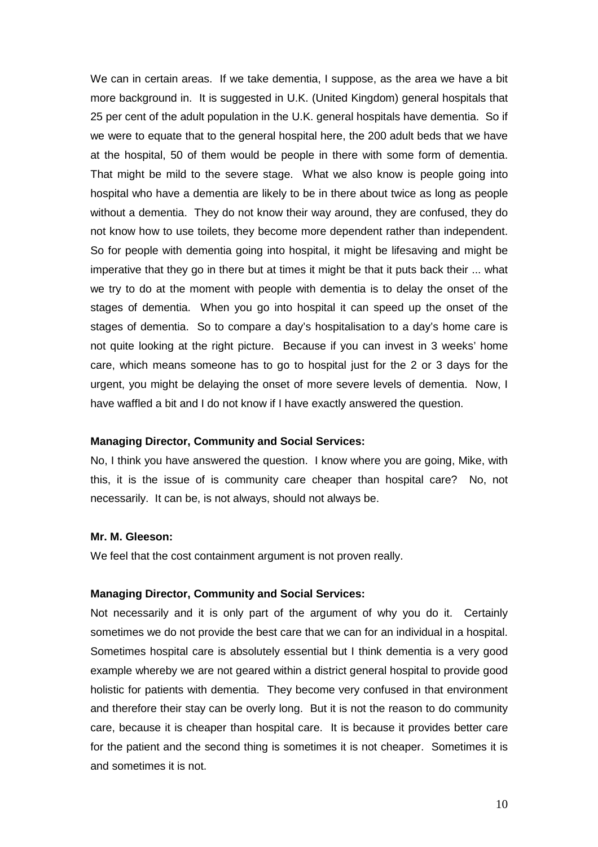We can in certain areas. If we take dementia, I suppose, as the area we have a bit more background in. It is suggested in U.K. (United Kingdom) general hospitals that 25 per cent of the adult population in the U.K. general hospitals have dementia. So if we were to equate that to the general hospital here, the 200 adult beds that we have at the hospital, 50 of them would be people in there with some form of dementia. That might be mild to the severe stage. What we also know is people going into hospital who have a dementia are likely to be in there about twice as long as people without a dementia. They do not know their way around, they are confused, they do not know how to use toilets, they become more dependent rather than independent. So for people with dementia going into hospital, it might be lifesaving and might be imperative that they go in there but at times it might be that it puts back their ... what we try to do at the moment with people with dementia is to delay the onset of the stages of dementia. When you go into hospital it can speed up the onset of the stages of dementia. So to compare a day's hospitalisation to a day's home care is not quite looking at the right picture. Because if you can invest in 3 weeks' home care, which means someone has to go to hospital just for the 2 or 3 days for the urgent, you might be delaying the onset of more severe levels of dementia. Now, I have waffled a bit and I do not know if I have exactly answered the question.

#### **Managing Director, Community and Social Services:**

No, I think you have answered the question. I know where you are going, Mike, with this, it is the issue of is community care cheaper than hospital care? No, not necessarily. It can be, is not always, should not always be.

#### **Mr. M. Gleeson:**

We feel that the cost containment argument is not proven really.

#### **Managing Director, Community and Social Services:**

Not necessarily and it is only part of the argument of why you do it. Certainly sometimes we do not provide the best care that we can for an individual in a hospital. Sometimes hospital care is absolutely essential but I think dementia is a very good example whereby we are not geared within a district general hospital to provide good holistic for patients with dementia. They become very confused in that environment and therefore their stay can be overly long. But it is not the reason to do community care, because it is cheaper than hospital care. It is because it provides better care for the patient and the second thing is sometimes it is not cheaper. Sometimes it is and sometimes it is not.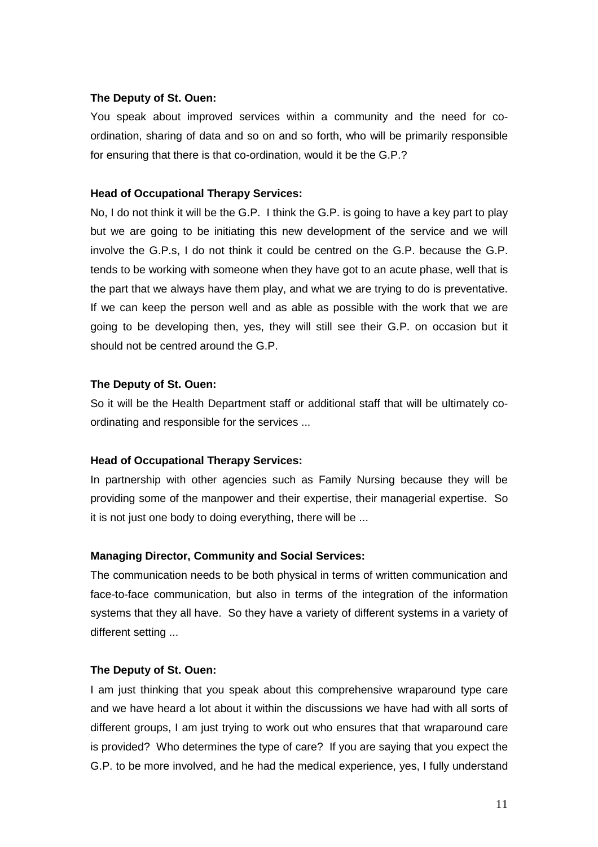#### **The Deputy of St. Ouen:**

You speak about improved services within a community and the need for coordination, sharing of data and so on and so forth, who will be primarily responsible for ensuring that there is that co-ordination, would it be the G.P.?

### **Head of Occupational Therapy Services:**

No, I do not think it will be the G.P. I think the G.P. is going to have a key part to play but we are going to be initiating this new development of the service and we will involve the G.P.s, I do not think it could be centred on the G.P. because the G.P. tends to be working with someone when they have got to an acute phase, well that is the part that we always have them play, and what we are trying to do is preventative. If we can keep the person well and as able as possible with the work that we are going to be developing then, yes, they will still see their G.P. on occasion but it should not be centred around the G.P.

### **The Deputy of St. Ouen:**

So it will be the Health Department staff or additional staff that will be ultimately coordinating and responsible for the services ...

#### **Head of Occupational Therapy Services:**

In partnership with other agencies such as Family Nursing because they will be providing some of the manpower and their expertise, their managerial expertise. So it is not just one body to doing everything, there will be ...

## **Managing Director, Community and Social Services:**

The communication needs to be both physical in terms of written communication and face-to-face communication, but also in terms of the integration of the information systems that they all have. So they have a variety of different systems in a variety of different setting ...

#### **The Deputy of St. Ouen:**

I am just thinking that you speak about this comprehensive wraparound type care and we have heard a lot about it within the discussions we have had with all sorts of different groups, I am just trying to work out who ensures that that wraparound care is provided? Who determines the type of care? If you are saying that you expect the G.P. to be more involved, and he had the medical experience, yes, I fully understand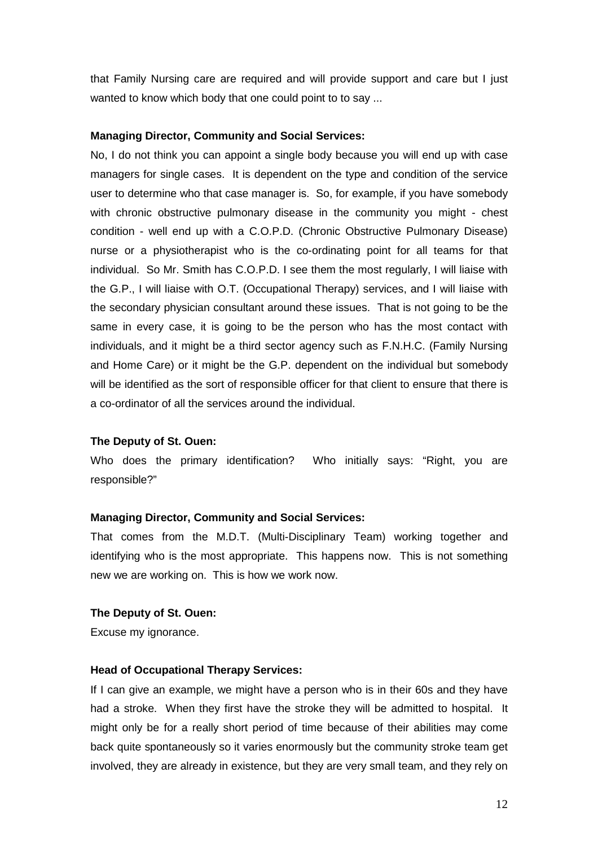that Family Nursing care are required and will provide support and care but I just wanted to know which body that one could point to to say ...

#### **Managing Director, Community and Social Services:**

No, I do not think you can appoint a single body because you will end up with case managers for single cases. It is dependent on the type and condition of the service user to determine who that case manager is. So, for example, if you have somebody with chronic obstructive pulmonary disease in the community you might - chest condition - well end up with a C.O.P.D. (Chronic Obstructive Pulmonary Disease) nurse or a physiotherapist who is the co-ordinating point for all teams for that individual. So Mr. Smith has C.O.P.D. I see them the most regularly, I will liaise with the G.P., I will liaise with O.T. (Occupational Therapy) services, and I will liaise with the secondary physician consultant around these issues. That is not going to be the same in every case, it is going to be the person who has the most contact with individuals, and it might be a third sector agency such as F.N.H.C. (Family Nursing and Home Care) or it might be the G.P. dependent on the individual but somebody will be identified as the sort of responsible officer for that client to ensure that there is a co-ordinator of all the services around the individual.

### **The Deputy of St. Ouen:**

Who does the primary identification? Who initially says: "Right, you are responsible?"

#### **Managing Director, Community and Social Services:**

That comes from the M.D.T. (Multi-Disciplinary Team) working together and identifying who is the most appropriate. This happens now. This is not something new we are working on. This is how we work now.

#### **The Deputy of St. Ouen:**

Excuse my ignorance.

#### **Head of Occupational Therapy Services:**

If I can give an example, we might have a person who is in their 60s and they have had a stroke. When they first have the stroke they will be admitted to hospital. It might only be for a really short period of time because of their abilities may come back quite spontaneously so it varies enormously but the community stroke team get involved, they are already in existence, but they are very small team, and they rely on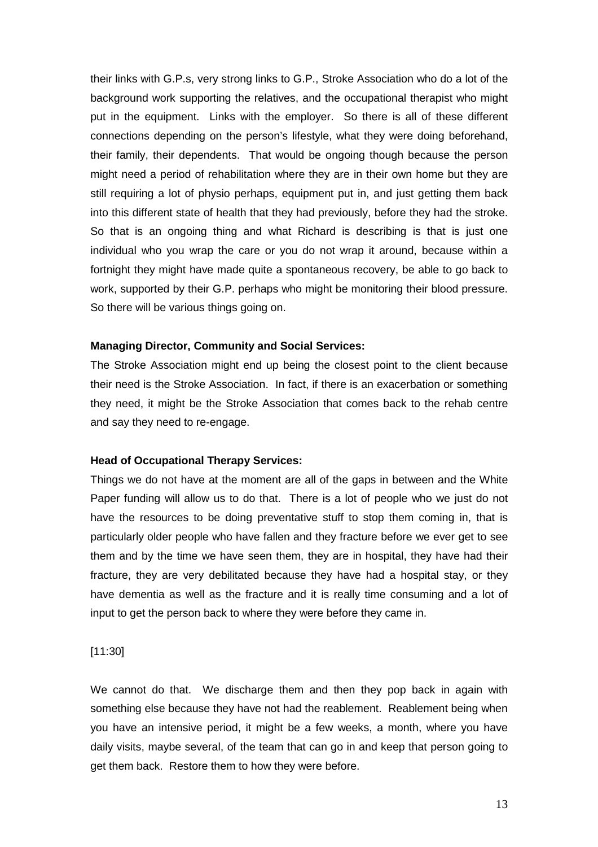their links with G.P.s, very strong links to G.P., Stroke Association who do a lot of the background work supporting the relatives, and the occupational therapist who might put in the equipment. Links with the employer. So there is all of these different connections depending on the person's lifestyle, what they were doing beforehand, their family, their dependents. That would be ongoing though because the person might need a period of rehabilitation where they are in their own home but they are still requiring a lot of physio perhaps, equipment put in, and just getting them back into this different state of health that they had previously, before they had the stroke. So that is an ongoing thing and what Richard is describing is that is just one individual who you wrap the care or you do not wrap it around, because within a fortnight they might have made quite a spontaneous recovery, be able to go back to work, supported by their G.P. perhaps who might be monitoring their blood pressure. So there will be various things going on.

#### **Managing Director, Community and Social Services:**

The Stroke Association might end up being the closest point to the client because their need is the Stroke Association. In fact, if there is an exacerbation or something they need, it might be the Stroke Association that comes back to the rehab centre and say they need to re-engage.

#### **Head of Occupational Therapy Services:**

Things we do not have at the moment are all of the gaps in between and the White Paper funding will allow us to do that. There is a lot of people who we just do not have the resources to be doing preventative stuff to stop them coming in, that is particularly older people who have fallen and they fracture before we ever get to see them and by the time we have seen them, they are in hospital, they have had their fracture, they are very debilitated because they have had a hospital stay, or they have dementia as well as the fracture and it is really time consuming and a lot of input to get the person back to where they were before they came in.

#### [11:30]

We cannot do that. We discharge them and then they pop back in again with something else because they have not had the reablement. Reablement being when you have an intensive period, it might be a few weeks, a month, where you have daily visits, maybe several, of the team that can go in and keep that person going to get them back. Restore them to how they were before.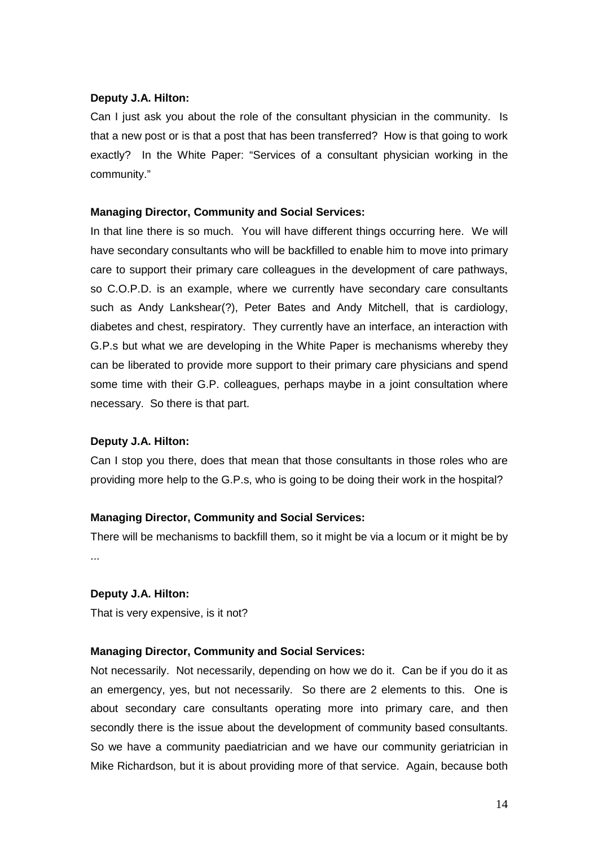## **Deputy J.A. Hilton:**

Can I just ask you about the role of the consultant physician in the community. Is that a new post or is that a post that has been transferred? How is that going to work exactly? In the White Paper: "Services of a consultant physician working in the community."

#### **Managing Director, Community and Social Services:**

In that line there is so much. You will have different things occurring here. We will have secondary consultants who will be backfilled to enable him to move into primary care to support their primary care colleagues in the development of care pathways, so C.O.P.D. is an example, where we currently have secondary care consultants such as Andy Lankshear(?), Peter Bates and Andy Mitchell, that is cardiology, diabetes and chest, respiratory. They currently have an interface, an interaction with G.P.s but what we are developing in the White Paper is mechanisms whereby they can be liberated to provide more support to their primary care physicians and spend some time with their G.P. colleagues, perhaps maybe in a joint consultation where necessary. So there is that part.

#### **Deputy J.A. Hilton:**

Can I stop you there, does that mean that those consultants in those roles who are providing more help to the G.P.s, who is going to be doing their work in the hospital?

## **Managing Director, Community and Social Services:**

There will be mechanisms to backfill them, so it might be via a locum or it might be by ...

#### **Deputy J.A. Hilton:**

That is very expensive, is it not?

## **Managing Director, Community and Social Services:**

Not necessarily. Not necessarily, depending on how we do it. Can be if you do it as an emergency, yes, but not necessarily. So there are 2 elements to this. One is about secondary care consultants operating more into primary care, and then secondly there is the issue about the development of community based consultants. So we have a community paediatrician and we have our community geriatrician in Mike Richardson, but it is about providing more of that service. Again, because both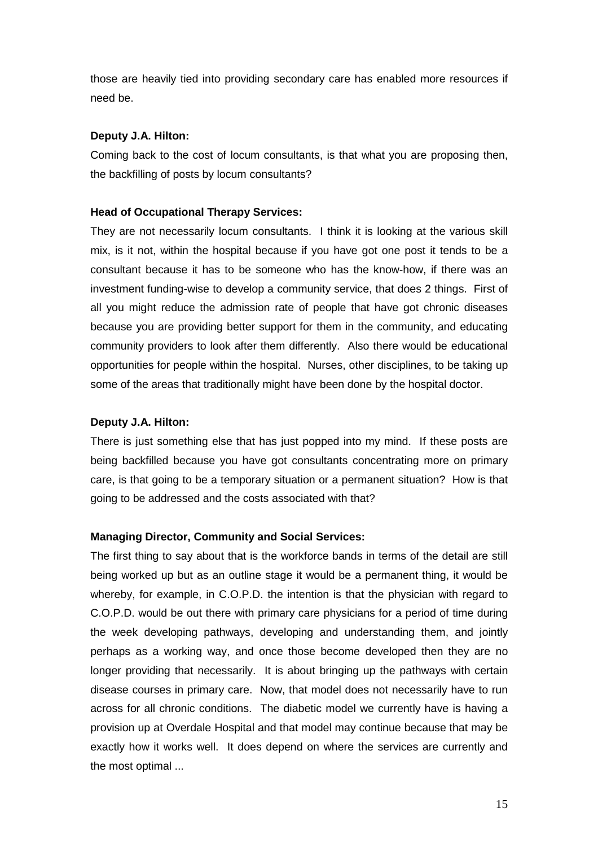those are heavily tied into providing secondary care has enabled more resources if need be.

### **Deputy J.A. Hilton:**

Coming back to the cost of locum consultants, is that what you are proposing then, the backfilling of posts by locum consultants?

#### **Head of Occupational Therapy Services:**

They are not necessarily locum consultants. I think it is looking at the various skill mix, is it not, within the hospital because if you have got one post it tends to be a consultant because it has to be someone who has the know-how, if there was an investment funding-wise to develop a community service, that does 2 things. First of all you might reduce the admission rate of people that have got chronic diseases because you are providing better support for them in the community, and educating community providers to look after them differently. Also there would be educational opportunities for people within the hospital. Nurses, other disciplines, to be taking up some of the areas that traditionally might have been done by the hospital doctor.

### **Deputy J.A. Hilton:**

There is just something else that has just popped into my mind. If these posts are being backfilled because you have got consultants concentrating more on primary care, is that going to be a temporary situation or a permanent situation? How is that going to be addressed and the costs associated with that?

#### **Managing Director, Community and Social Services:**

The first thing to say about that is the workforce bands in terms of the detail are still being worked up but as an outline stage it would be a permanent thing, it would be whereby, for example, in C.O.P.D. the intention is that the physician with regard to C.O.P.D. would be out there with primary care physicians for a period of time during the week developing pathways, developing and understanding them, and jointly perhaps as a working way, and once those become developed then they are no longer providing that necessarily. It is about bringing up the pathways with certain disease courses in primary care. Now, that model does not necessarily have to run across for all chronic conditions. The diabetic model we currently have is having a provision up at Overdale Hospital and that model may continue because that may be exactly how it works well. It does depend on where the services are currently and the most optimal ...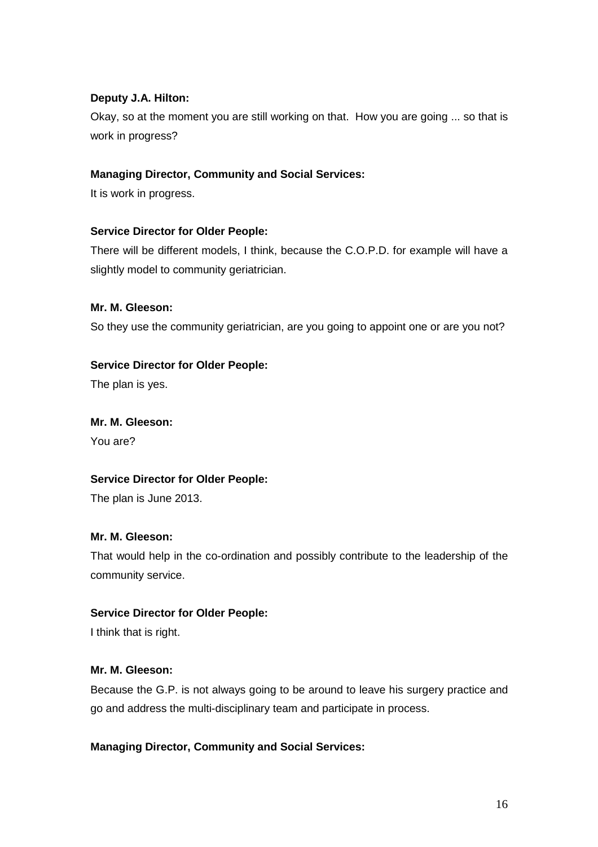## **Deputy J.A. Hilton:**

Okay, so at the moment you are still working on that. How you are going ... so that is work in progress?

## **Managing Director, Community and Social Services:**

It is work in progress.

## **Service Director for Older People:**

There will be different models, I think, because the C.O.P.D. for example will have a slightly model to community geriatrician.

## **Mr. M. Gleeson:**

So they use the community geriatrician, are you going to appoint one or are you not?

## **Service Director for Older People:**

The plan is yes.

## **Mr. M. Gleeson:**

You are?

## **Service Director for Older People:**

The plan is June 2013.

## **Mr. M. Gleeson:**

That would help in the co-ordination and possibly contribute to the leadership of the community service.

## **Service Director for Older People:**

I think that is right.

## **Mr. M. Gleeson:**

Because the G.P. is not always going to be around to leave his surgery practice and go and address the multi-disciplinary team and participate in process.

## **Managing Director, Community and Social Services:**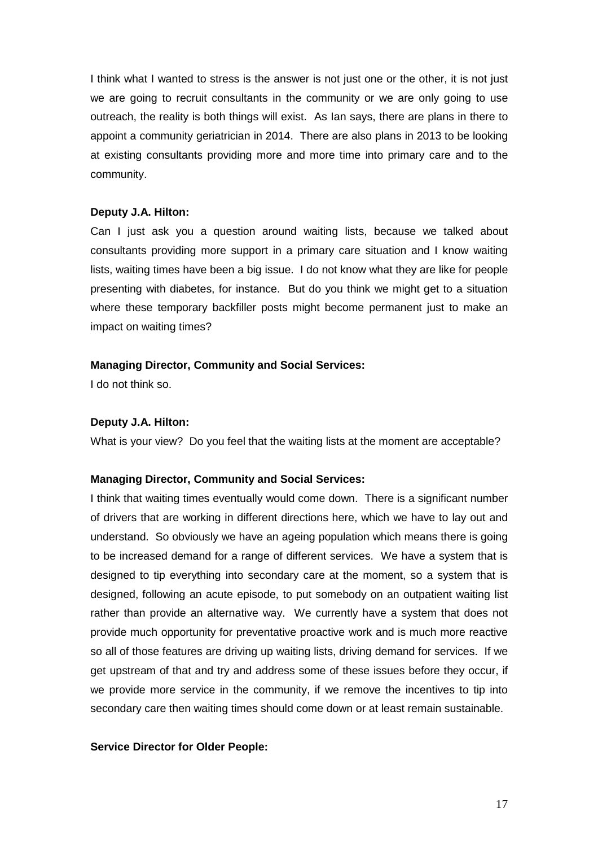I think what I wanted to stress is the answer is not just one or the other, it is not just we are going to recruit consultants in the community or we are only going to use outreach, the reality is both things will exist. As Ian says, there are plans in there to appoint a community geriatrician in 2014. There are also plans in 2013 to be looking at existing consultants providing more and more time into primary care and to the community.

### **Deputy J.A. Hilton:**

Can I just ask you a question around waiting lists, because we talked about consultants providing more support in a primary care situation and I know waiting lists, waiting times have been a big issue. I do not know what they are like for people presenting with diabetes, for instance. But do you think we might get to a situation where these temporary backfiller posts might become permanent just to make an impact on waiting times?

### **Managing Director, Community and Social Services:**

I do not think so.

### **Deputy J.A. Hilton:**

What is your view? Do you feel that the waiting lists at the moment are acceptable?

## **Managing Director, Community and Social Services:**

I think that waiting times eventually would come down. There is a significant number of drivers that are working in different directions here, which we have to lay out and understand. So obviously we have an ageing population which means there is going to be increased demand for a range of different services. We have a system that is designed to tip everything into secondary care at the moment, so a system that is designed, following an acute episode, to put somebody on an outpatient waiting list rather than provide an alternative way. We currently have a system that does not provide much opportunity for preventative proactive work and is much more reactive so all of those features are driving up waiting lists, driving demand for services. If we get upstream of that and try and address some of these issues before they occur, if we provide more service in the community, if we remove the incentives to tip into secondary care then waiting times should come down or at least remain sustainable.

#### **Service Director for Older People:**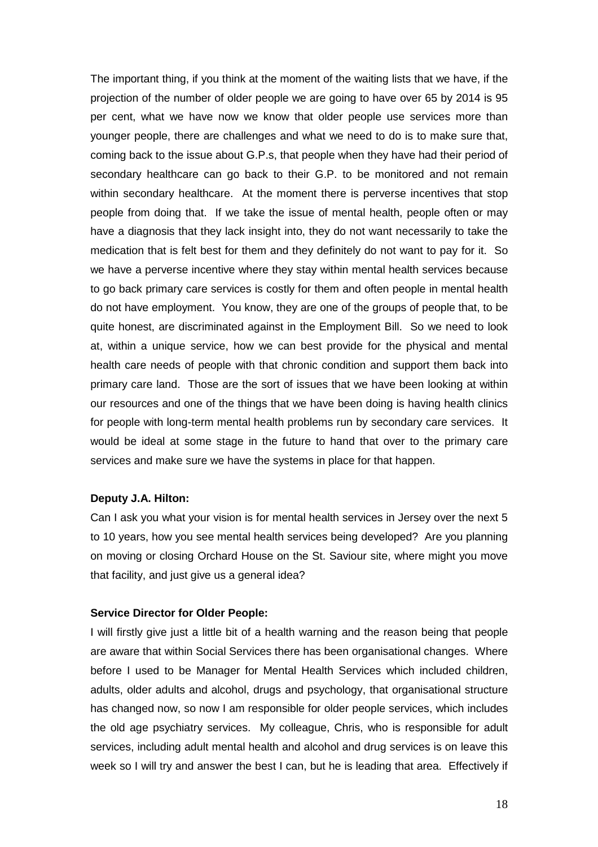The important thing, if you think at the moment of the waiting lists that we have, if the projection of the number of older people we are going to have over 65 by 2014 is 95 per cent, what we have now we know that older people use services more than younger people, there are challenges and what we need to do is to make sure that, coming back to the issue about G.P.s, that people when they have had their period of secondary healthcare can go back to their G.P. to be monitored and not remain within secondary healthcare. At the moment there is perverse incentives that stop people from doing that. If we take the issue of mental health, people often or may have a diagnosis that they lack insight into, they do not want necessarily to take the medication that is felt best for them and they definitely do not want to pay for it. So we have a perverse incentive where they stay within mental health services because to go back primary care services is costly for them and often people in mental health do not have employment. You know, they are one of the groups of people that, to be quite honest, are discriminated against in the Employment Bill. So we need to look at, within a unique service, how we can best provide for the physical and mental health care needs of people with that chronic condition and support them back into primary care land. Those are the sort of issues that we have been looking at within our resources and one of the things that we have been doing is having health clinics for people with long-term mental health problems run by secondary care services. It would be ideal at some stage in the future to hand that over to the primary care services and make sure we have the systems in place for that happen.

#### **Deputy J.A. Hilton:**

Can I ask you what your vision is for mental health services in Jersey over the next 5 to 10 years, how you see mental health services being developed? Are you planning on moving or closing Orchard House on the St. Saviour site, where might you move that facility, and just give us a general idea?

#### **Service Director for Older People:**

I will firstly give just a little bit of a health warning and the reason being that people are aware that within Social Services there has been organisational changes. Where before I used to be Manager for Mental Health Services which included children, adults, older adults and alcohol, drugs and psychology, that organisational structure has changed now, so now I am responsible for older people services, which includes the old age psychiatry services. My colleague, Chris, who is responsible for adult services, including adult mental health and alcohol and drug services is on leave this week so I will try and answer the best I can, but he is leading that area. Effectively if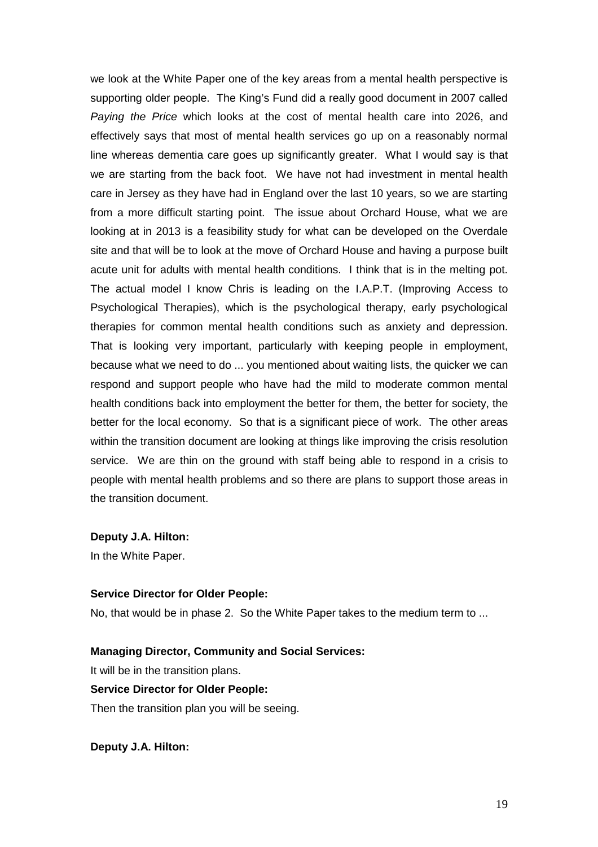we look at the White Paper one of the key areas from a mental health perspective is supporting older people. The King's Fund did a really good document in 2007 called Paying the Price which looks at the cost of mental health care into 2026, and effectively says that most of mental health services go up on a reasonably normal line whereas dementia care goes up significantly greater. What I would say is that we are starting from the back foot. We have not had investment in mental health care in Jersey as they have had in England over the last 10 years, so we are starting from a more difficult starting point. The issue about Orchard House, what we are looking at in 2013 is a feasibility study for what can be developed on the Overdale site and that will be to look at the move of Orchard House and having a purpose built acute unit for adults with mental health conditions. I think that is in the melting pot. The actual model I know Chris is leading on the I.A.P.T. (Improving Access to Psychological Therapies), which is the psychological therapy, early psychological therapies for common mental health conditions such as anxiety and depression. That is looking very important, particularly with keeping people in employment, because what we need to do ... you mentioned about waiting lists, the quicker we can respond and support people who have had the mild to moderate common mental health conditions back into employment the better for them, the better for society, the better for the local economy. So that is a significant piece of work. The other areas within the transition document are looking at things like improving the crisis resolution service. We are thin on the ground with staff being able to respond in a crisis to people with mental health problems and so there are plans to support those areas in the transition document.

#### **Deputy J.A. Hilton:**

In the White Paper.

## **Service Director for Older People:**

No, that would be in phase 2. So the White Paper takes to the medium term to ...

## **Managing Director, Community and Social Services:**

It will be in the transition plans.

## **Service Director for Older People:**

Then the transition plan you will be seeing.

**Deputy J.A. Hilton:**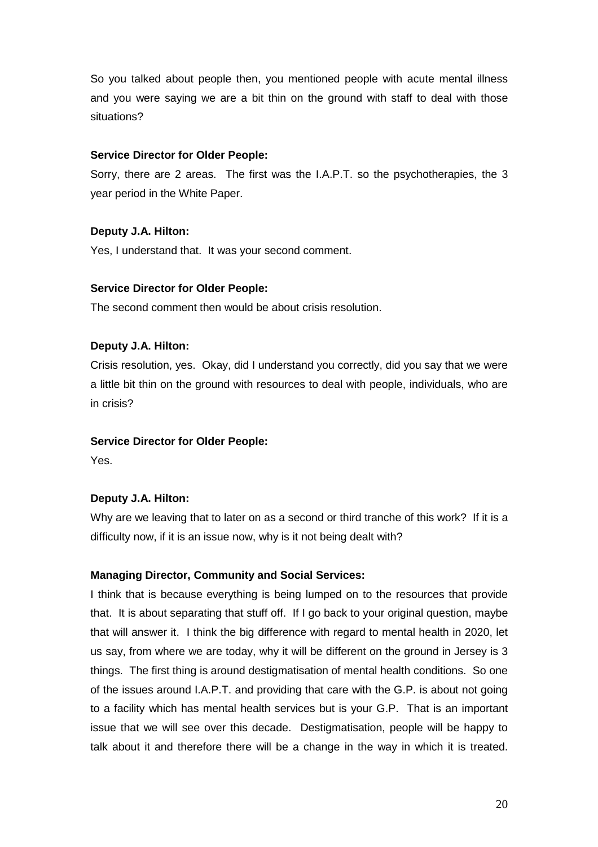So you talked about people then, you mentioned people with acute mental illness and you were saying we are a bit thin on the ground with staff to deal with those situations?

## **Service Director for Older People:**

Sorry, there are 2 areas. The first was the I.A.P.T. so the psychotherapies, the 3 year period in the White Paper.

## **Deputy J.A. Hilton:**

Yes, I understand that. It was your second comment.

## **Service Director for Older People:**

The second comment then would be about crisis resolution.

## **Deputy J.A. Hilton:**

Crisis resolution, yes. Okay, did I understand you correctly, did you say that we were a little bit thin on the ground with resources to deal with people, individuals, who are in crisis?

## **Service Director for Older People:**

Yes.

## **Deputy J.A. Hilton:**

Why are we leaving that to later on as a second or third tranche of this work? If it is a difficulty now, if it is an issue now, why is it not being dealt with?

## **Managing Director, Community and Social Services:**

I think that is because everything is being lumped on to the resources that provide that. It is about separating that stuff off. If I go back to your original question, maybe that will answer it. I think the big difference with regard to mental health in 2020, let us say, from where we are today, why it will be different on the ground in Jersey is 3 things. The first thing is around destigmatisation of mental health conditions. So one of the issues around I.A.P.T. and providing that care with the G.P. is about not going to a facility which has mental health services but is your G.P. That is an important issue that we will see over this decade. Destigmatisation, people will be happy to talk about it and therefore there will be a change in the way in which it is treated.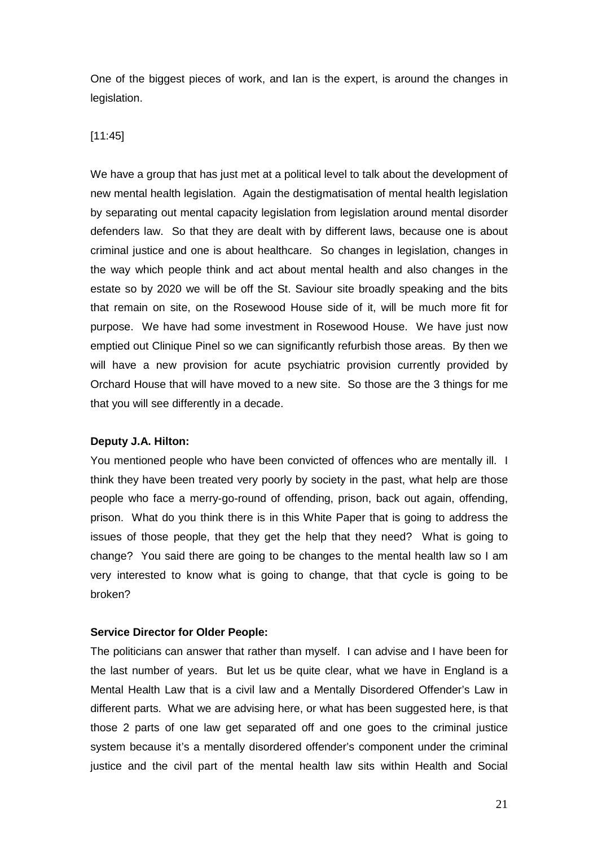One of the biggest pieces of work, and Ian is the expert, is around the changes in legislation.

#### [11:45]

We have a group that has just met at a political level to talk about the development of new mental health legislation. Again the destigmatisation of mental health legislation by separating out mental capacity legislation from legislation around mental disorder defenders law. So that they are dealt with by different laws, because one is about criminal justice and one is about healthcare. So changes in legislation, changes in the way which people think and act about mental health and also changes in the estate so by 2020 we will be off the St. Saviour site broadly speaking and the bits that remain on site, on the Rosewood House side of it, will be much more fit for purpose. We have had some investment in Rosewood House. We have just now emptied out Clinique Pinel so we can significantly refurbish those areas. By then we will have a new provision for acute psychiatric provision currently provided by Orchard House that will have moved to a new site. So those are the 3 things for me that you will see differently in a decade.

#### **Deputy J.A. Hilton:**

You mentioned people who have been convicted of offences who are mentally ill. I think they have been treated very poorly by society in the past, what help are those people who face a merry-go-round of offending, prison, back out again, offending, prison. What do you think there is in this White Paper that is going to address the issues of those people, that they get the help that they need? What is going to change? You said there are going to be changes to the mental health law so I am very interested to know what is going to change, that that cycle is going to be broken?

#### **Service Director for Older People:**

The politicians can answer that rather than myself. I can advise and I have been for the last number of years. But let us be quite clear, what we have in England is a Mental Health Law that is a civil law and a Mentally Disordered Offender's Law in different parts. What we are advising here, or what has been suggested here, is that those 2 parts of one law get separated off and one goes to the criminal justice system because it's a mentally disordered offender's component under the criminal justice and the civil part of the mental health law sits within Health and Social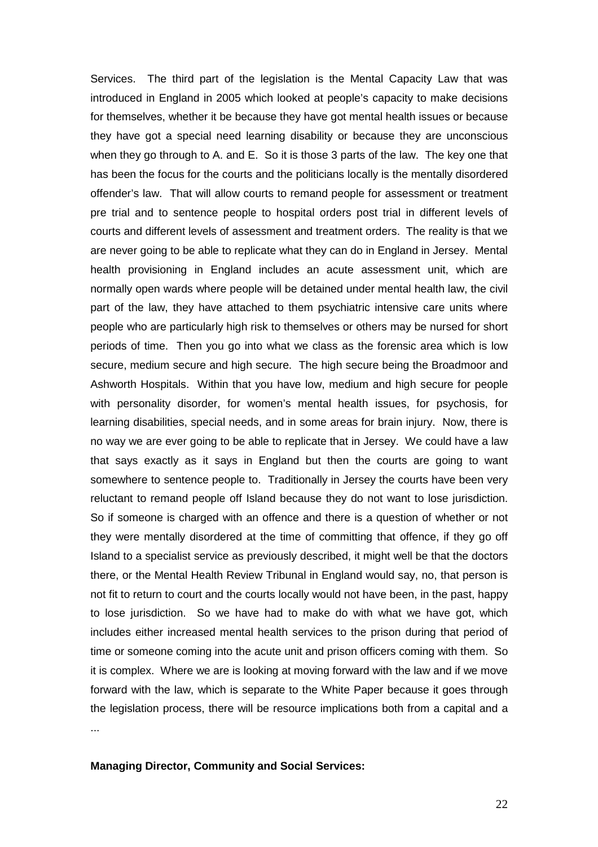Services. The third part of the legislation is the Mental Capacity Law that was introduced in England in 2005 which looked at people's capacity to make decisions for themselves, whether it be because they have got mental health issues or because they have got a special need learning disability or because they are unconscious when they go through to A. and E. So it is those 3 parts of the law. The key one that has been the focus for the courts and the politicians locally is the mentally disordered offender's law. That will allow courts to remand people for assessment or treatment pre trial and to sentence people to hospital orders post trial in different levels of courts and different levels of assessment and treatment orders. The reality is that we are never going to be able to replicate what they can do in England in Jersey. Mental health provisioning in England includes an acute assessment unit, which are normally open wards where people will be detained under mental health law, the civil part of the law, they have attached to them psychiatric intensive care units where people who are particularly high risk to themselves or others may be nursed for short periods of time. Then you go into what we class as the forensic area which is low secure, medium secure and high secure. The high secure being the Broadmoor and Ashworth Hospitals. Within that you have low, medium and high secure for people with personality disorder, for women's mental health issues, for psychosis, for learning disabilities, special needs, and in some areas for brain injury. Now, there is no way we are ever going to be able to replicate that in Jersey. We could have a law that says exactly as it says in England but then the courts are going to want somewhere to sentence people to. Traditionally in Jersey the courts have been very reluctant to remand people off Island because they do not want to lose jurisdiction. So if someone is charged with an offence and there is a question of whether or not they were mentally disordered at the time of committing that offence, if they go off Island to a specialist service as previously described, it might well be that the doctors there, or the Mental Health Review Tribunal in England would say, no, that person is not fit to return to court and the courts locally would not have been, in the past, happy to lose jurisdiction. So we have had to make do with what we have got, which includes either increased mental health services to the prison during that period of time or someone coming into the acute unit and prison officers coming with them. So it is complex. Where we are is looking at moving forward with the law and if we move forward with the law, which is separate to the White Paper because it goes through the legislation process, there will be resource implications both from a capital and a ...

## **Managing Director, Community and Social Services:**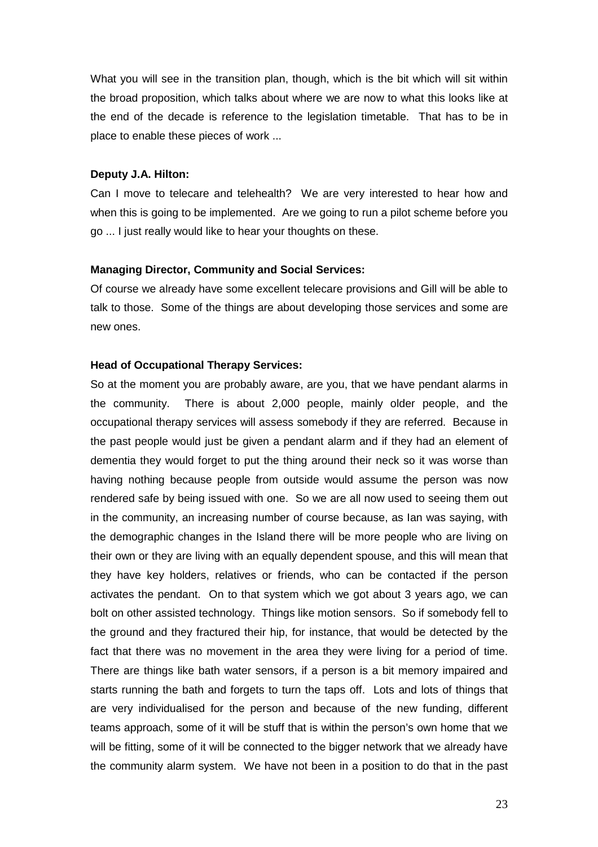What you will see in the transition plan, though, which is the bit which will sit within the broad proposition, which talks about where we are now to what this looks like at the end of the decade is reference to the legislation timetable. That has to be in place to enable these pieces of work ...

#### **Deputy J.A. Hilton:**

Can I move to telecare and telehealth? We are very interested to hear how and when this is going to be implemented. Are we going to run a pilot scheme before you go ... I just really would like to hear your thoughts on these.

#### **Managing Director, Community and Social Services:**

Of course we already have some excellent telecare provisions and Gill will be able to talk to those. Some of the things are about developing those services and some are new ones.

#### **Head of Occupational Therapy Services:**

So at the moment you are probably aware, are you, that we have pendant alarms in the community. There is about 2,000 people, mainly older people, and the occupational therapy services will assess somebody if they are referred. Because in the past people would just be given a pendant alarm and if they had an element of dementia they would forget to put the thing around their neck so it was worse than having nothing because people from outside would assume the person was now rendered safe by being issued with one. So we are all now used to seeing them out in the community, an increasing number of course because, as Ian was saying, with the demographic changes in the Island there will be more people who are living on their own or they are living with an equally dependent spouse, and this will mean that they have key holders, relatives or friends, who can be contacted if the person activates the pendant. On to that system which we got about 3 years ago, we can bolt on other assisted technology. Things like motion sensors. So if somebody fell to the ground and they fractured their hip, for instance, that would be detected by the fact that there was no movement in the area they were living for a period of time. There are things like bath water sensors, if a person is a bit memory impaired and starts running the bath and forgets to turn the taps off. Lots and lots of things that are very individualised for the person and because of the new funding, different teams approach, some of it will be stuff that is within the person's own home that we will be fitting, some of it will be connected to the bigger network that we already have the community alarm system. We have not been in a position to do that in the past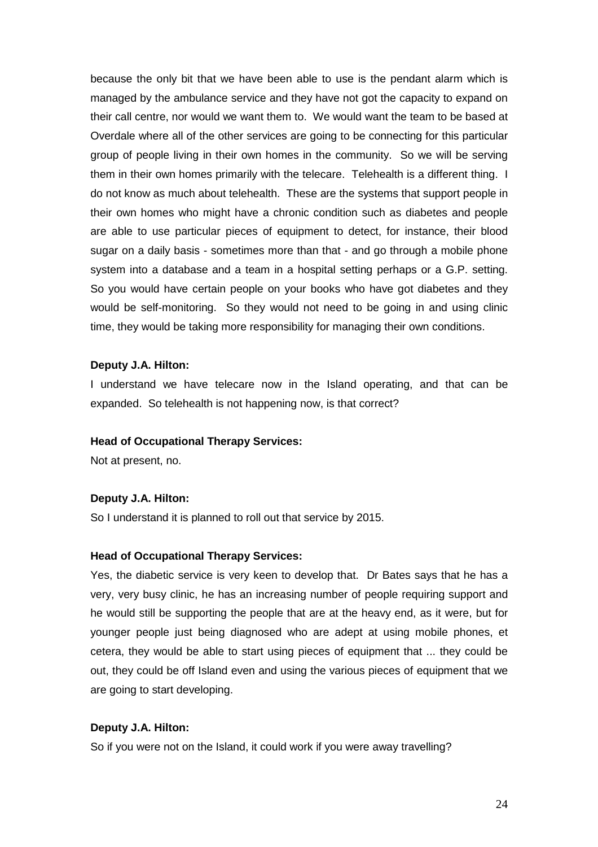because the only bit that we have been able to use is the pendant alarm which is managed by the ambulance service and they have not got the capacity to expand on their call centre, nor would we want them to. We would want the team to be based at Overdale where all of the other services are going to be connecting for this particular group of people living in their own homes in the community. So we will be serving them in their own homes primarily with the telecare. Telehealth is a different thing. I do not know as much about telehealth. These are the systems that support people in their own homes who might have a chronic condition such as diabetes and people are able to use particular pieces of equipment to detect, for instance, their blood sugar on a daily basis - sometimes more than that - and go through a mobile phone system into a database and a team in a hospital setting perhaps or a G.P. setting. So you would have certain people on your books who have got diabetes and they would be self-monitoring. So they would not need to be going in and using clinic time, they would be taking more responsibility for managing their own conditions.

#### **Deputy J.A. Hilton:**

I understand we have telecare now in the Island operating, and that can be expanded. So telehealth is not happening now, is that correct?

#### **Head of Occupational Therapy Services:**

Not at present, no.

## **Deputy J.A. Hilton:**

So I understand it is planned to roll out that service by 2015.

#### **Head of Occupational Therapy Services:**

Yes, the diabetic service is very keen to develop that. Dr Bates says that he has a very, very busy clinic, he has an increasing number of people requiring support and he would still be supporting the people that are at the heavy end, as it were, but for younger people just being diagnosed who are adept at using mobile phones, et cetera, they would be able to start using pieces of equipment that ... they could be out, they could be off Island even and using the various pieces of equipment that we are going to start developing.

#### **Deputy J.A. Hilton:**

So if you were not on the Island, it could work if you were away travelling?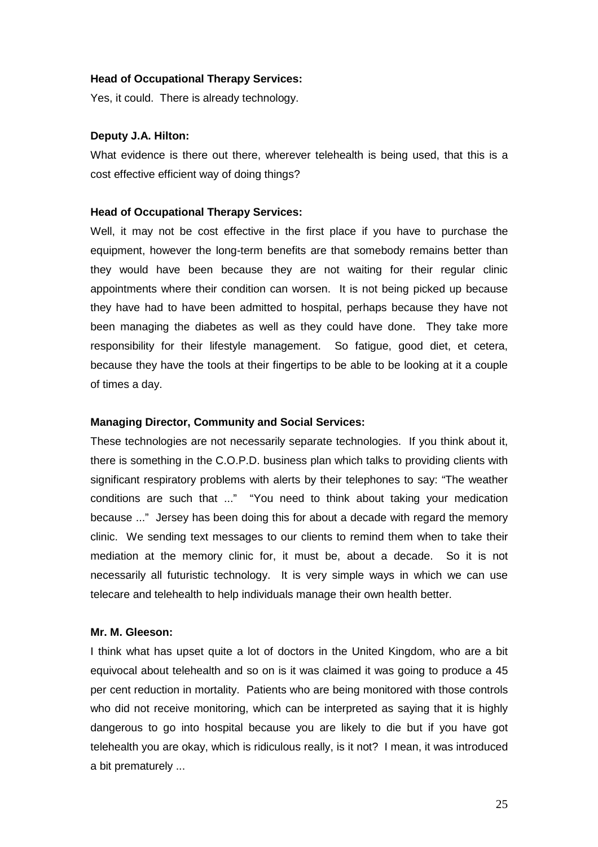#### **Head of Occupational Therapy Services:**

Yes, it could. There is already technology.

#### **Deputy J.A. Hilton:**

What evidence is there out there, wherever telehealth is being used, that this is a cost effective efficient way of doing things?

#### **Head of Occupational Therapy Services:**

Well, it may not be cost effective in the first place if you have to purchase the equipment, however the long-term benefits are that somebody remains better than they would have been because they are not waiting for their regular clinic appointments where their condition can worsen. It is not being picked up because they have had to have been admitted to hospital, perhaps because they have not been managing the diabetes as well as they could have done. They take more responsibility for their lifestyle management. So fatigue, good diet, et cetera, because they have the tools at their fingertips to be able to be looking at it a couple of times a day.

#### **Managing Director, Community and Social Services:**

These technologies are not necessarily separate technologies. If you think about it, there is something in the C.O.P.D. business plan which talks to providing clients with significant respiratory problems with alerts by their telephones to say: "The weather conditions are such that ..." "You need to think about taking your medication because ..." Jersey has been doing this for about a decade with regard the memory clinic. We sending text messages to our clients to remind them when to take their mediation at the memory clinic for, it must be, about a decade. So it is not necessarily all futuristic technology. It is very simple ways in which we can use telecare and telehealth to help individuals manage their own health better.

#### **Mr. M. Gleeson:**

I think what has upset quite a lot of doctors in the United Kingdom, who are a bit equivocal about telehealth and so on is it was claimed it was going to produce a 45 per cent reduction in mortality. Patients who are being monitored with those controls who did not receive monitoring, which can be interpreted as saying that it is highly dangerous to go into hospital because you are likely to die but if you have got telehealth you are okay, which is ridiculous really, is it not? I mean, it was introduced a bit prematurely ...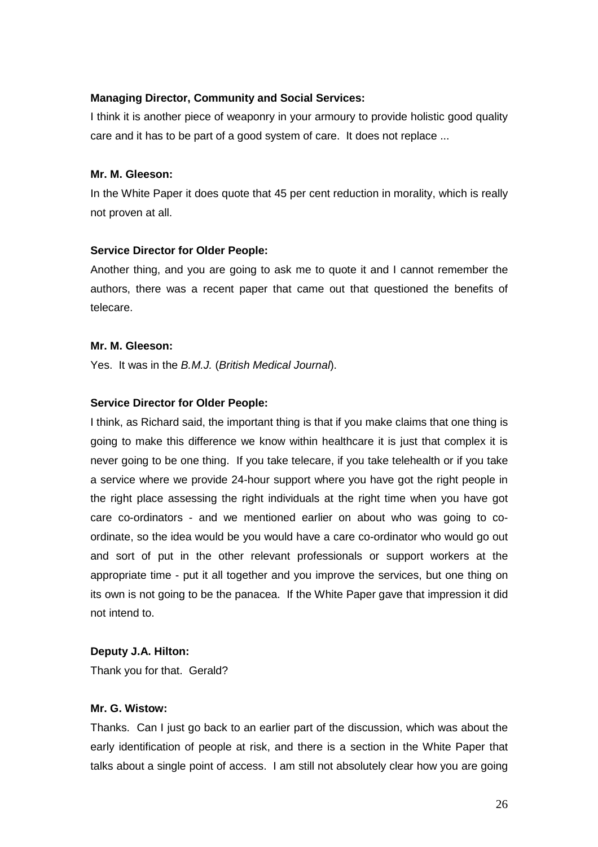## **Managing Director, Community and Social Services:**

I think it is another piece of weaponry in your armoury to provide holistic good quality care and it has to be part of a good system of care. It does not replace ...

## **Mr. M. Gleeson:**

In the White Paper it does quote that 45 per cent reduction in morality, which is really not proven at all.

### **Service Director for Older People:**

Another thing, and you are going to ask me to quote it and I cannot remember the authors, there was a recent paper that came out that questioned the benefits of telecare.

### **Mr. M. Gleeson:**

Yes. It was in the B.M.J. (British Medical Journal).

### **Service Director for Older People:**

I think, as Richard said, the important thing is that if you make claims that one thing is going to make this difference we know within healthcare it is just that complex it is never going to be one thing. If you take telecare, if you take telehealth or if you take a service where we provide 24-hour support where you have got the right people in the right place assessing the right individuals at the right time when you have got care co-ordinators - and we mentioned earlier on about who was going to coordinate, so the idea would be you would have a care co-ordinator who would go out and sort of put in the other relevant professionals or support workers at the appropriate time - put it all together and you improve the services, but one thing on its own is not going to be the panacea. If the White Paper gave that impression it did not intend to.

## **Deputy J.A. Hilton:**

Thank you for that. Gerald?

#### **Mr. G. Wistow:**

Thanks. Can I just go back to an earlier part of the discussion, which was about the early identification of people at risk, and there is a section in the White Paper that talks about a single point of access. I am still not absolutely clear how you are going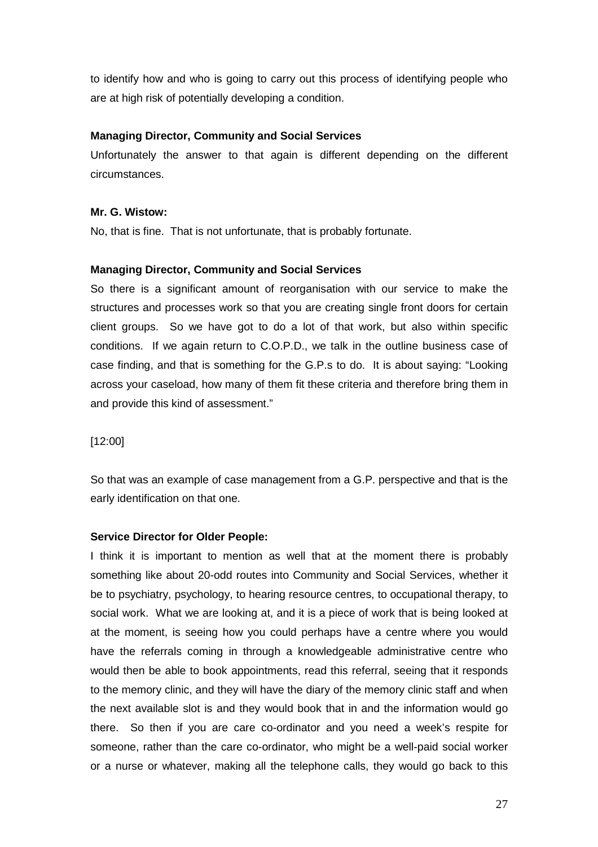to identify how and who is going to carry out this process of identifying people who are at high risk of potentially developing a condition.

## **Managing Director, Community and Social Services**

Unfortunately the answer to that again is different depending on the different circumstances.

## **Mr. G. Wistow:**

No, that is fine. That is not unfortunate, that is probably fortunate.

## **Managing Director, Community and Social Services**

So there is a significant amount of reorganisation with our service to make the structures and processes work so that you are creating single front doors for certain client groups. So we have got to do a lot of that work, but also within specific conditions. If we again return to C.O.P.D., we talk in the outline business case of case finding, and that is something for the G.P.s to do. It is about saying: "Looking across your caseload, how many of them fit these criteria and therefore bring them in and provide this kind of assessment."

## [12:00]

So that was an example of case management from a G.P. perspective and that is the early identification on that one.

## **Service Director for Older People:**

I think it is important to mention as well that at the moment there is probably something like about 20-odd routes into Community and Social Services, whether it be to psychiatry, psychology, to hearing resource centres, to occupational therapy, to social work. What we are looking at, and it is a piece of work that is being looked at at the moment, is seeing how you could perhaps have a centre where you would have the referrals coming in through a knowledgeable administrative centre who would then be able to book appointments, read this referral, seeing that it responds to the memory clinic, and they will have the diary of the memory clinic staff and when the next available slot is and they would book that in and the information would go there. So then if you are care co-ordinator and you need a week's respite for someone, rather than the care co-ordinator, who might be a well-paid social worker or a nurse or whatever, making all the telephone calls, they would go back to this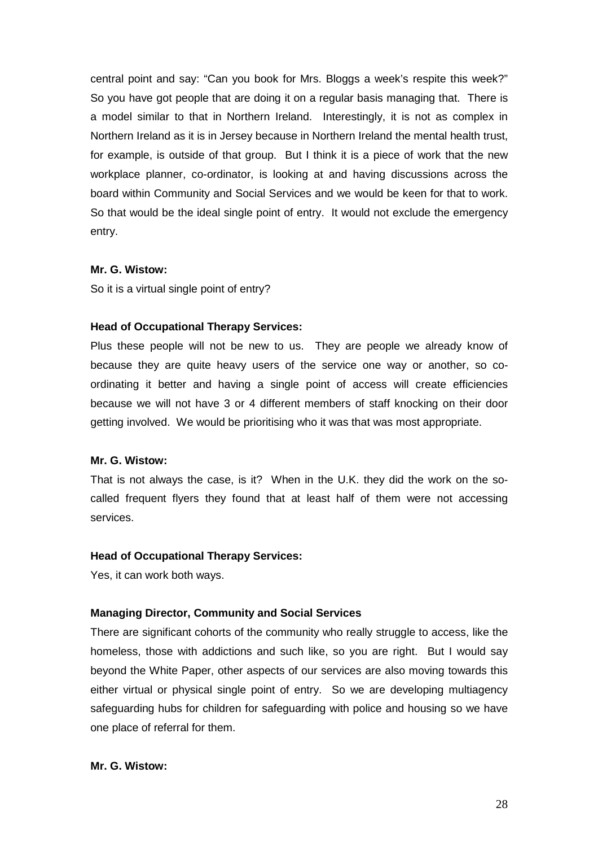central point and say: "Can you book for Mrs. Bloggs a week's respite this week?" So you have got people that are doing it on a regular basis managing that. There is a model similar to that in Northern Ireland. Interestingly, it is not as complex in Northern Ireland as it is in Jersey because in Northern Ireland the mental health trust, for example, is outside of that group. But I think it is a piece of work that the new workplace planner, co-ordinator, is looking at and having discussions across the board within Community and Social Services and we would be keen for that to work. So that would be the ideal single point of entry. It would not exclude the emergency entry.

## **Mr. G. Wistow:**

So it is a virtual single point of entry?

#### **Head of Occupational Therapy Services:**

Plus these people will not be new to us. They are people we already know of because they are quite heavy users of the service one way or another, so coordinating it better and having a single point of access will create efficiencies because we will not have 3 or 4 different members of staff knocking on their door getting involved. We would be prioritising who it was that was most appropriate.

#### **Mr. G. Wistow:**

That is not always the case, is it? When in the U.K. they did the work on the socalled frequent flyers they found that at least half of them were not accessing services.

#### **Head of Occupational Therapy Services:**

Yes, it can work both ways.

#### **Managing Director, Community and Social Services**

There are significant cohorts of the community who really struggle to access, like the homeless, those with addictions and such like, so you are right. But I would say beyond the White Paper, other aspects of our services are also moving towards this either virtual or physical single point of entry. So we are developing multiagency safeguarding hubs for children for safeguarding with police and housing so we have one place of referral for them.

#### **Mr. G. Wistow:**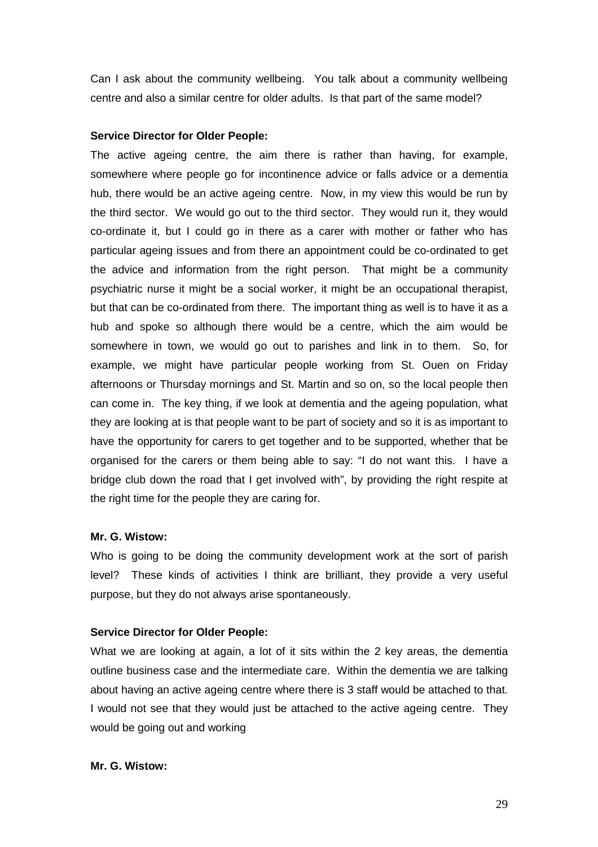Can I ask about the community wellbeing. You talk about a community wellbeing centre and also a similar centre for older adults. Is that part of the same model?

#### **Service Director for Older People:**

The active ageing centre, the aim there is rather than having, for example, somewhere where people go for incontinence advice or falls advice or a dementia hub, there would be an active ageing centre. Now, in my view this would be run by the third sector. We would go out to the third sector. They would run it, they would co-ordinate it, but I could go in there as a carer with mother or father who has particular ageing issues and from there an appointment could be co-ordinated to get the advice and information from the right person. That might be a community psychiatric nurse it might be a social worker, it might be an occupational therapist, but that can be co-ordinated from there. The important thing as well is to have it as a hub and spoke so although there would be a centre, which the aim would be somewhere in town, we would go out to parishes and link in to them. So, for example, we might have particular people working from St. Ouen on Friday afternoons or Thursday mornings and St. Martin and so on, so the local people then can come in. The key thing, if we look at dementia and the ageing population, what they are looking at is that people want to be part of society and so it is as important to have the opportunity for carers to get together and to be supported, whether that be organised for the carers or them being able to say: "I do not want this. I have a bridge club down the road that I get involved with", by providing the right respite at the right time for the people they are caring for.

#### **Mr. G. Wistow:**

Who is going to be doing the community development work at the sort of parish level? These kinds of activities I think are brilliant, they provide a very useful purpose, but they do not always arise spontaneously.

#### **Service Director for Older People:**

What we are looking at again, a lot of it sits within the 2 key areas, the dementia outline business case and the intermediate care. Within the dementia we are talking about having an active ageing centre where there is 3 staff would be attached to that. I would not see that they would just be attached to the active ageing centre. They would be going out and working

#### **Mr. G. Wistow:**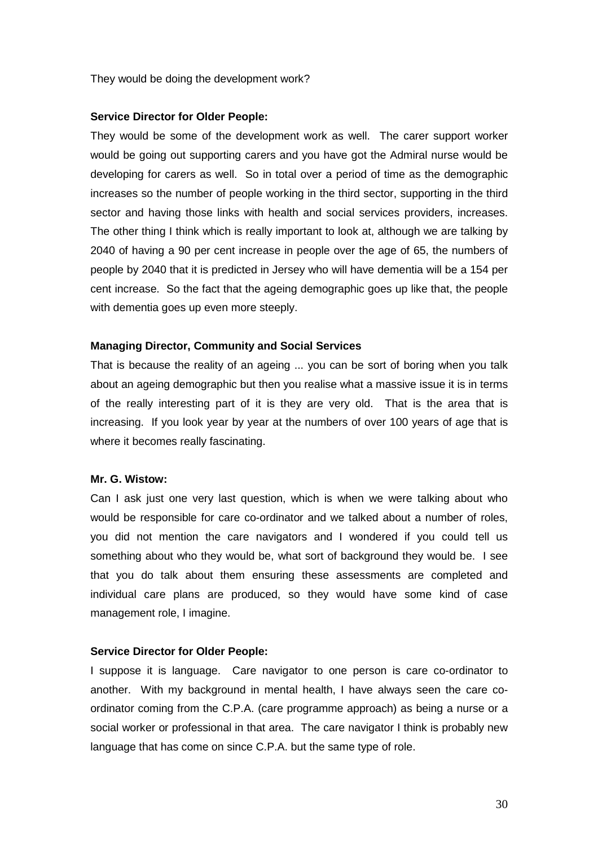They would be doing the development work?

#### **Service Director for Older People:**

They would be some of the development work as well. The carer support worker would be going out supporting carers and you have got the Admiral nurse would be developing for carers as well. So in total over a period of time as the demographic increases so the number of people working in the third sector, supporting in the third sector and having those links with health and social services providers, increases. The other thing I think which is really important to look at, although we are talking by 2040 of having a 90 per cent increase in people over the age of 65, the numbers of people by 2040 that it is predicted in Jersey who will have dementia will be a 154 per cent increase. So the fact that the ageing demographic goes up like that, the people with dementia goes up even more steeply.

### **Managing Director, Community and Social Services**

That is because the reality of an ageing ... you can be sort of boring when you talk about an ageing demographic but then you realise what a massive issue it is in terms of the really interesting part of it is they are very old. That is the area that is increasing. If you look year by year at the numbers of over 100 years of age that is where it becomes really fascinating.

## **Mr. G. Wistow:**

Can I ask just one very last question, which is when we were talking about who would be responsible for care co-ordinator and we talked about a number of roles, you did not mention the care navigators and I wondered if you could tell us something about who they would be, what sort of background they would be. I see that you do talk about them ensuring these assessments are completed and individual care plans are produced, so they would have some kind of case management role, I imagine.

## **Service Director for Older People:**

I suppose it is language. Care navigator to one person is care co-ordinator to another. With my background in mental health, I have always seen the care coordinator coming from the C.P.A. (care programme approach) as being a nurse or a social worker or professional in that area. The care navigator I think is probably new language that has come on since C.P.A. but the same type of role.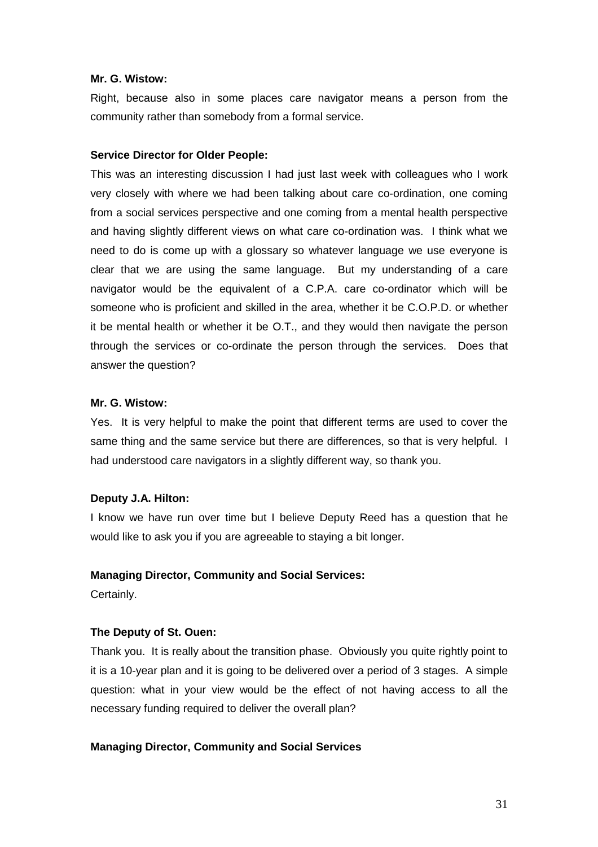#### **Mr. G. Wistow:**

Right, because also in some places care navigator means a person from the community rather than somebody from a formal service.

#### **Service Director for Older People:**

This was an interesting discussion I had just last week with colleagues who I work very closely with where we had been talking about care co-ordination, one coming from a social services perspective and one coming from a mental health perspective and having slightly different views on what care co-ordination was. I think what we need to do is come up with a glossary so whatever language we use everyone is clear that we are using the same language. But my understanding of a care navigator would be the equivalent of a C.P.A. care co-ordinator which will be someone who is proficient and skilled in the area, whether it be C.O.P.D. or whether it be mental health or whether it be O.T., and they would then navigate the person through the services or co-ordinate the person through the services. Does that answer the question?

## **Mr. G. Wistow:**

Yes. It is very helpful to make the point that different terms are used to cover the same thing and the same service but there are differences, so that is very helpful. I had understood care navigators in a slightly different way, so thank you.

#### **Deputy J.A. Hilton:**

I know we have run over time but I believe Deputy Reed has a question that he would like to ask you if you are agreeable to staying a bit longer.

#### **Managing Director, Community and Social Services:**

Certainly.

#### **The Deputy of St. Ouen:**

Thank you. It is really about the transition phase. Obviously you quite rightly point to it is a 10-year plan and it is going to be delivered over a period of 3 stages. A simple question: what in your view would be the effect of not having access to all the necessary funding required to deliver the overall plan?

#### **Managing Director, Community and Social Services**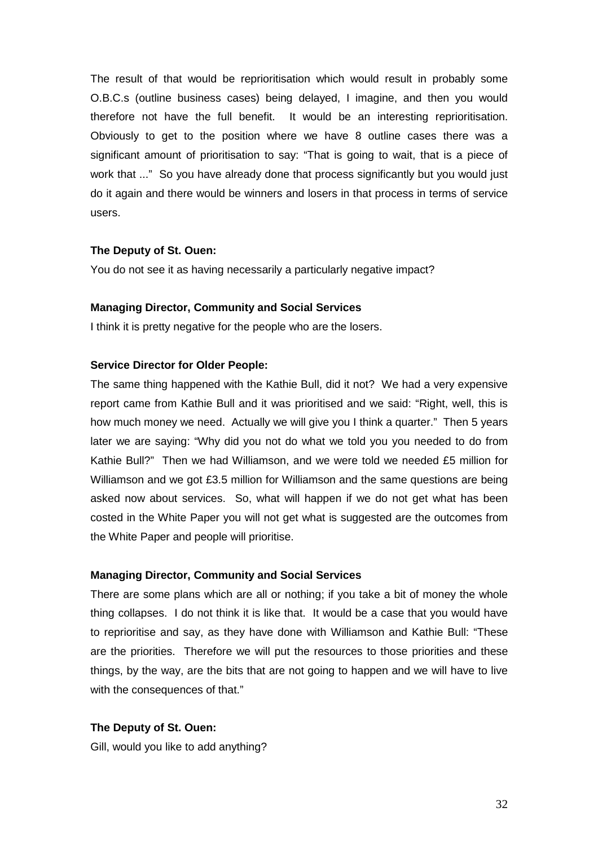The result of that would be reprioritisation which would result in probably some O.B.C.s (outline business cases) being delayed, I imagine, and then you would therefore not have the full benefit. It would be an interesting reprioritisation. Obviously to get to the position where we have 8 outline cases there was a significant amount of prioritisation to say: "That is going to wait, that is a piece of work that ..." So you have already done that process significantly but you would just do it again and there would be winners and losers in that process in terms of service users.

#### **The Deputy of St. Ouen:**

You do not see it as having necessarily a particularly negative impact?

#### **Managing Director, Community and Social Services**

I think it is pretty negative for the people who are the losers.

#### **Service Director for Older People:**

The same thing happened with the Kathie Bull, did it not? We had a very expensive report came from Kathie Bull and it was prioritised and we said: "Right, well, this is how much money we need. Actually we will give you I think a quarter." Then 5 years later we are saying: "Why did you not do what we told you you needed to do from Kathie Bull?" Then we had Williamson, and we were told we needed £5 million for Williamson and we got £3.5 million for Williamson and the same questions are being asked now about services. So, what will happen if we do not get what has been costed in the White Paper you will not get what is suggested are the outcomes from the White Paper and people will prioritise.

#### **Managing Director, Community and Social Services**

There are some plans which are all or nothing; if you take a bit of money the whole thing collapses. I do not think it is like that. It would be a case that you would have to reprioritise and say, as they have done with Williamson and Kathie Bull: "These are the priorities. Therefore we will put the resources to those priorities and these things, by the way, are the bits that are not going to happen and we will have to live with the consequences of that."

#### **The Deputy of St. Ouen:**

Gill, would you like to add anything?